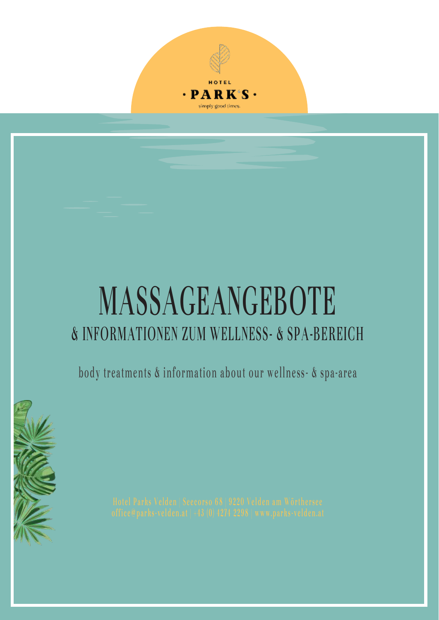

# **MASSAGEANGEBOTE & INFORMATIONEN ZUM WELLNESS- & SPA-BEREICH**

**body treatments & information about our wellness - & spa-area**

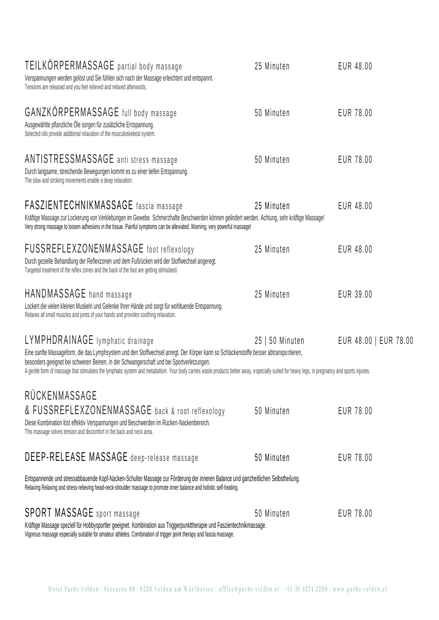| TEILKORPERMASSAGE partial body massage<br>Verspannungen werden gelöst und Sie fühlen sich nach der Massage erleichtert und entspannt.<br>Tensions are released and you feel relieved and relaxed afterwards.                                                                                                                                                                                                                                                              | 25 Minuten      | EUR 48.00             |
|---------------------------------------------------------------------------------------------------------------------------------------------------------------------------------------------------------------------------------------------------------------------------------------------------------------------------------------------------------------------------------------------------------------------------------------------------------------------------|-----------------|-----------------------|
| GANZKÖRPERMASSAGE full body massage<br>Ausgewählte pflanzliche Öle sorgen für zusätzliche Entspannung.<br>Selected oils provide additional relaxation of the musculoskeletal system.                                                                                                                                                                                                                                                                                      | 50 Minuten      | EUR 78.00             |
| <b>ANTISTRESSMASSAGE</b> anti stress massage<br>Durch langsame, streichende Bewegungen kommt es zu einer tiefen Entspannung.<br>The slow and stroking movements enable a deep relaxation.                                                                                                                                                                                                                                                                                 | 50 Minuten      | EUR 78.00             |
| FASZIENTECHNIKMASSAGE fascia massage<br>Kräftige Massage zur Lockerung von Verklebungen im Gewebe. Schmerzhafte Beschwerden können gelindert werden. Achtung, sehr kräftige Massage!<br>Very strong massage to loosen adhesions in the tissue. Painful symptoms can be alleviated. Warning, very powerful massage!                                                                                                                                                        | 25 Minuten      | EUR 48.00             |
| FUSSREFLEXZONENMASSAGE foot reflexology<br>Durch gezielte Behandlung der Reflexzonen und dem Fußrücken wird der Stoffwechsel angeregt.<br>Targeted treatment of the reflex zones and the back of the foot are getting stimulated.                                                                                                                                                                                                                                         | 25 Minuten      | EUR 48.00             |
| HANDMASSAGE hand massage<br>Lockert die vielen kleinen Muskeln und Gelenke Ihrer Hände und sorgt für wohltuende Entspannung.<br>Relaxes all small muscles and joints of your hands and provides soothing relaxation.                                                                                                                                                                                                                                                      | 25 Minuten      | EUR 39.00             |
| LYMPHDRAINAGE lymphatic drainage<br>Eine sanfte Massageform, die das Lymphsystem und den Stoffwechsel anregt. Der Körper kann so Schlackenstoffe besser abtransportieren,<br>besonders geeignet bei schweren Beinen, in der Schwangerschaft und bei Sportverletzungen.<br>A gentle form of massage that stimulates the lymphatic system and metabolism. Your body carries waste products better away, especially suited for heavy legs, in pregnancy and sports injuries. | 25   50 Minuten | EUR 48.00   EUR 78.00 |
| RÜCKENMASSAGE                                                                                                                                                                                                                                                                                                                                                                                                                                                             |                 |                       |
| & FUSSREFLEXZONENMASSAGE back & root reflexology<br>Diese Kombination löst effektiv Verspannungen und Beschwerden im Rücken-Nackenbereich.<br>This massage solves tension and discomfort in the back and neck area.                                                                                                                                                                                                                                                       | 50 Minuten      | EUR 78.00             |
| DEEP-RELEASE MASSAGE deep-release massage                                                                                                                                                                                                                                                                                                                                                                                                                                 | 50 Minuten      | EUR 78.00             |
| Entspannende und stressabbauende Kopf-Nacken-Schulter Massage zur Förderung der inneren Balance und ganzheitlichen Selbstheilung.<br>Relaxing Relaxing and stress-relieving head-neck-shoulder massage to promote inner balance and holistic self-healing.                                                                                                                                                                                                                |                 |                       |
| <b>SPORT MASSAGE</b> sport massage<br>Kräftige Massage speziell für Hobbysportler geeignet. Kombination aus Triggerpunkttherapie und Faszientechnikmassage.<br>Vigorous massage especially suitable for amateur athletes. Combination of trigger point therapy and fascia massage.                                                                                                                                                                                        | 50 Minuten      | EUR 78.00             |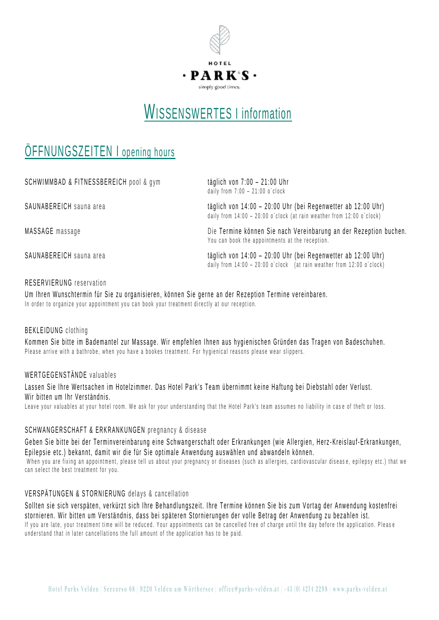

### WISSENSWERTES I information

### ÖFFNUNGSZEITEN I opening hours

| SCHWIMMBAD & FITNESSBEREICH pool & gym | täglich von $7:00 - 21:00$ Uhr<br>daily from $7:00 - 21:00$ o'clock                                                                       |  |
|----------------------------------------|-------------------------------------------------------------------------------------------------------------------------------------------|--|
| SAUNABEREICH sauna area                | täglich von 14:00 - 20:00 Uhr (bei Regenwetter ab 12:00 Uhr)<br>daily from $14:00 - 20:00$ o'clock (at rain weather from $12:00$ o'clock) |  |
| MASSAGE massage                        | Die Termine können Sie nach Vereinbarung an der Rezeption buchen.<br>You can book the appointments at the reception.                      |  |
| SAUNABEREICH sauna area                | täglich von 14:00 - 20:00 Uhr (bei Regenwetter ab 12:00 Uhr)<br>daily from 14:00 - 20:00 o'clock (at rain weather from 12:00 o'clock)     |  |

### RESERVIERUNG reservation

Um Ihren Wunschtermin für Sie zu organisieren, können Sie gerne an der Rezeption Termine vereinbaren. In order to organize your appointment you can book your treatment directly at our reception.

### BEKLEIDUNG clothing

Kommen Sie bitte im Bademantel zur Massage. Wir empfehlen Ihnen aus hygienischen Gründen das Tragen von Badeschuhen. Please arrive with a bathrobe, when you have a bookes treatment. For hygienical reasons please wear slippers,

### WERTGEGENSTÄNDE valuables

Lassen Sie Ihre Wertsachen im Hotelzimmer. Das Hotel Park's Team übernimmt keine Haftung bei Diebstahl oder Verlust. Wir bitten um Ihr Verständnis.

Leave your valuables at your hotel room. We ask for your understanding that the Hotel Park's team assumes no liability in case of theft or loss.

### SCHWANGERSCHAFT & ERKRANKUNGEN pregnancy & disease

Geben Sie bitte bei der Terminvereinbarung eine Schwangerschaft oder Erkrankungen (wie Allergien, Herz-Kreislauf-Erkrankungen, Epilepsie etc.) bekannt, damit wir die für Sie optimale Anwendung auswählen und abwandeln können. When you are fixing an appointment, please tell us about your pregnancy or diseases (such as allergies, cardiovascular disease, epilepsy etc.) that we can select the best treatment for you.

### VERSPÄTUNGEN & STORNIERUNG delays & cancellation

Sollten sie sich verspäten, verkürzt sich Ihre Behandlungszeit. Ihre Termine können Sie bis zum Vortag der Anwendung kostenfrei stornieren. Wir bitten um Verständnis, dass bei späteren Stornierungen der volle Betrag der Anwendung zu bezahlen ist. If you are late, your treatment time will be reduced. Your appointments can be cancelled free of charge until the day before the application. Please understand that in later cancellations the full amount of the application has to be paid.